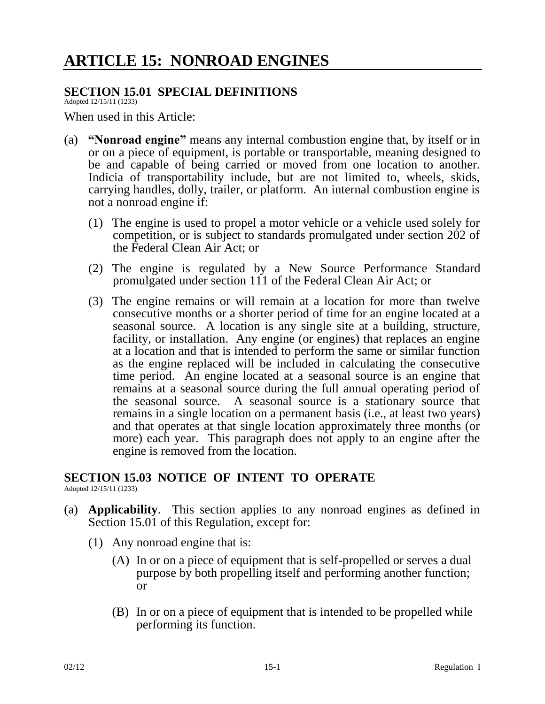## **SECTION 15.01 SPECIAL DEFINITIONS**

Adopted 12/15/11 (1233)

When used in this Article:

- (a) **"Nonroad engine"** means any internal combustion engine that, by itself or in or on a piece of equipment, is portable or transportable, meaning designed to be and capable of being carried or moved from one location to another. Indicia of transportability include, but are not limited to, wheels, skids, carrying handles, dolly, trailer, or platform. An internal combustion engine is not a nonroad engine if:
	- (1) The engine is used to propel a motor vehicle or a vehicle used solely for competition, or is subject to standards promulgated under section 202 of the Federal Clean Air Act; or
	- (2) The engine is regulated by a New Source Performance Standard promulgated under section 111 of the Federal Clean Air Act; or
	- (3) The engine remains or will remain at a location for more than twelve consecutive months or a shorter period of time for an engine located at a seasonal source. A location is any single site at a building, structure, facility, or installation. Any engine (or engines) that replaces an engine at a location and that is intended to perform the same or similar function as the engine replaced will be included in calculating the consecutive time period. An engine located at a seasonal source is an engine that remains at a seasonal source during the full annual operating period of the seasonal source. A seasonal source is a stationary source that remains in a single location on a permanent basis (i.e., at least two years) and that operates at that single location approximately three months (or more) each year. This paragraph does not apply to an engine after the engine is removed from the location.

## **SECTION 15.03 NOTICE OF INTENT TO OPERATE**

Adopted 12/15/11 (1233)

- (a) **Applicability**. This section applies to any nonroad engines as defined in Section 15.01 of this Regulation, except for:
	- (1) Any nonroad engine that is:
		- (A) In or on a piece of equipment that is self-propelled or serves a dual purpose by both propelling itself and performing another function; or
		- (B) In or on a piece of equipment that is intended to be propelled while performing its function.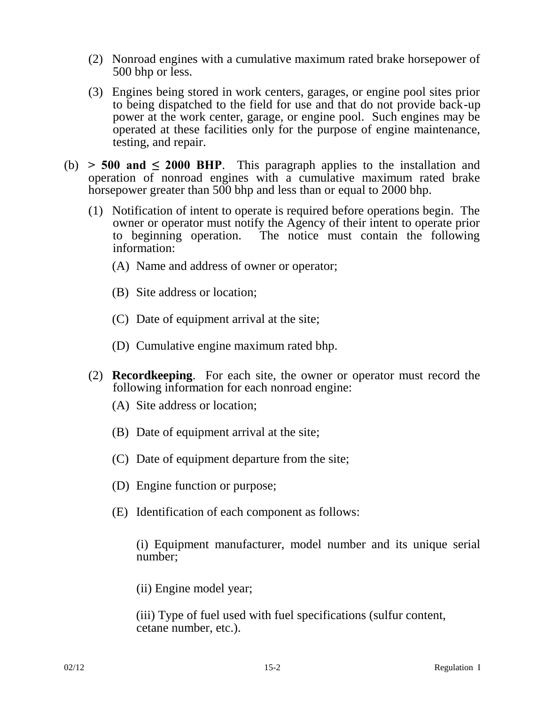- (2) Nonroad engines with a cumulative maximum rated brake horsepower of 500 bhp or less.
- (3) Engines being stored in work centers, garages, or engine pool sites prior to being dispatched to the field for use and that do not provide back-up power at the work center, garage, or engine pool. Such engines may be operated at these facilities only for the purpose of engine maintenance, testing, and repair.
- (b)  $> 500$  and  $\leq 2000$  BHP. This paragraph applies to the installation and operation of nonroad engines with a cumulative maximum rated brake horsepower greater than 500 bhp and less than or equal to 2000 bhp.
	- (1) Notification of intent to operate is required before operations begin. The owner or operator must notify the Agency of their intent to operate prior to beginning operation. The notice must contain the following information:
		- (A) Name and address of owner or operator;
		- (B) Site address or location;
		- (C) Date of equipment arrival at the site;
		- (D) Cumulative engine maximum rated bhp.
	- (2) **Recordkeeping**. For each site, the owner or operator must record the following information for each nonroad engine:
		- (A) Site address or location;
		- (B) Date of equipment arrival at the site;
		- (C) Date of equipment departure from the site;
		- (D) Engine function or purpose;
		- (E) Identification of each component as follows:

(i) Equipment manufacturer, model number and its unique serial number;

(ii) Engine model year;

(iii) Type of fuel used with fuel specifications (sulfur content, cetane number, etc.).